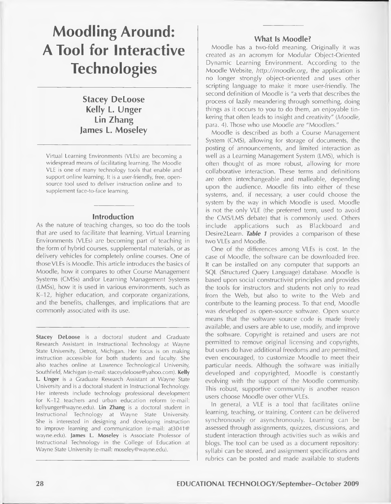# **Moodling Around: A Tool for Interactive Technologies**

**Stacey DeLoose Kelly L. Unger Lin Zhang James L. Moseley**

Virtual Learning Environments (VLEs) are becoming a widespread means of facilitating learning. The Moodle VLE is one of many technology tools that enable and support online learning. It is a user-friendly, free, opensource tool used to deliver instruction online and to supplement face-to-face learning.

#### **Introduction**

As the nature of teaching changes, so too do the tools that are used to facilitate that learning. Virtual Learning Environments (VLEs) are becoming part of teaching in the form of hybrid courses, supplemental materials, or as delivery vehicles for completely online courses. One of those VLEs is Moodle. This article introduces the basics of Moodle, how it compares to other Course Management Systems (CMSs) and/or Learning Management Systems (LMSs), how it is used in various environments, such as K-12, higher education, and corporate organizations, and the benefits, challenges, and implications that are commonly associated with its use.

**Stacey DeLoose** is a doctoral student and Graduate Research Assistant in Instructional Technology at Wayne State University, Detroit, Michigan. Her focus is on making instruction accessible for both students and faculty. She also teaches online at Lawrence Technological University, Southfield, Michigan (e-mail: [staceydeloose@yahoo.com\)](mailto:staceydeloose@yahoo.com). **Kelly L. Unger** is a Graduate Research Assistant at Wayne State University and is a doctoral student in Instructional Technology. Her interests include technology professional development for K-12 teachers and urban education reform (e-mail: [kellyunger@wayne.edu](mailto:kellyunger@wayne.edu)). **Lin Zhang** is a doctoral student in Instructional Technology at Wayne State University. She is interested in designing and developing instruction to improve learning and communication (e-mail: at3041@ wayne.edu). **James L. Moseley** is Associate Professor of Instructional Technology in the College of Education at Wayne State University (e-mail: [moseley@wayne.edu](mailto:moseley@wayne.edu)).

#### **What Is Moodle?**

Moodle has a two-fold meaning. Originally it was created as an acronym for Modular Object-Oriented Dynamic Learning Environment. According to the Moodle Website, *[http://moodle.org,](http://moodle.org)* the application is no longer strongly object-oriented and uses other scripting language to make it more user-friendly. The second definition of Moodle is "a verb that describes the process of lazily meandering through something, doing things as it occurs to you to do them, an enjoyable tinkering that often leads to insight and creativity" (*Moodle,* para. 4). Those who use Moodle are "Moodlers."

Moodle is described as both a Course Management System (CMS), allowing for storage of documents, the posting of announcements, and limited interaction as well as a Learning Management System (LMS), which is often thought of as more robust, allowing for more collaborative interaction. These terms and definitions are often interchangeable and malleable, depending upon the audience. Moodle fits into either of these systems, and, if necessary, a user could choose the system by the way in which Moodle is used. Moodle is not the only VLE (the preferred term, used to avoid the CMS/LMS debate) that is commonly used. Others include applications such as Blackboard and Desire2Learn. *Table 1* provides a comparison of these two VLEs and Moodle.

One of the differences among VLEs is cost. In the case of Moodle, the software can be downloaded free. It can be installed on any computer that supports an SQL (Structured Query Language) database. Moodle is based upon social constructivist principles and provides the tools for instructors and students not only to read from the Web, but also to write to the Web and contribute to the learning process. To that end, Moodle was developed as open-source software. Open source means that the software source code is made freely available, and users are able to use, modify, and improve the software. Copyright is retained and users are not permitted to remove original licensing and copyrights, but users do have additional freedoms and are permitted, even encouraged, to customize Moodle to meet their particular needs. Although the software was initially developed and copyrighted, Moodle is constantly evolving with the support of the Moodle community. This robust, supportive community is another reason users choose Moodle over other VLEs.

In general, a VLE is a tool that facilitates online learning, teaching, or training. Content can be delivered synchronously or asynchronously. Learning can be assessed through assignments, quizzes, discussions, and student interaction through activities such as wikis and blogs. The tool can be used as a document repository: syllabi can be stored, and assignment specifications and rubrics can be posted and made available to students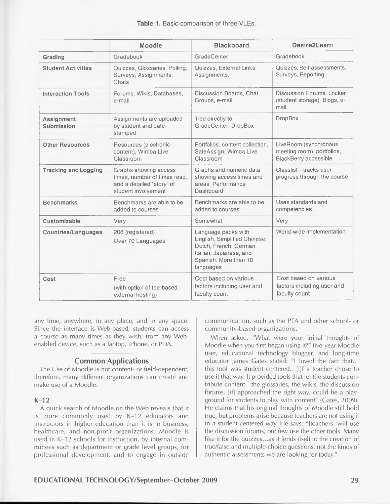|                                 | Moodle                                                                                                    | <b>Blackboard</b>                                                                                                                             | Desire2Learn                                                                        |
|---------------------------------|-----------------------------------------------------------------------------------------------------------|-----------------------------------------------------------------------------------------------------------------------------------------------|-------------------------------------------------------------------------------------|
| Grading                         | Gradebook                                                                                                 | GradeCenter                                                                                                                                   | Gradebook                                                                           |
| <b>Student Activities</b>       | Quizzes, Glossaries, Polling,<br>Surveys, Assignments,<br>Chats                                           | Quizzes, External Links,<br>Assignments,                                                                                                      | Quizzes, Self-assessments,<br>Surveys, Reporting                                    |
| <b>Interaction Tools</b>        | Forums, Wikis, Databases,<br>e-mail                                                                       | Discussion Boards, Chat,<br>Groups, e-mail                                                                                                    | Discussion Forums, Locker<br>(student storage), Blogs, e-<br>mail                   |
| Assignment<br><b>Submission</b> | Assignments are uploaded<br>by student and date-<br>stamped                                               | Tied directly to<br>GradeCenter, DropBox                                                                                                      | <b>DropBox</b>                                                                      |
| <b>Other Resources</b>          | Resources (electronic<br>content), Wimba Live<br>Classroom                                                | Portfolios, content collection,<br>SafeAssign, Wimba Live<br>Classroom                                                                        | LiveRoom (synchronous<br>meeting room), portfolios,<br><b>BlackBerry accessible</b> |
| <b>Tracking and Logging</b>     | Graphs showing access<br>times, number of times read,<br>and a detailed "story" of<br>student involvement | Graphs and numeric data<br>showing access times and<br>areas, Performance<br>Dashboard                                                        | Classlist-tracks user<br>progress through the course                                |
| <b>Benchmarks</b>               | Benchmarks are able to be<br>added to courses                                                             | Benchmarks are able to be<br>added to courses                                                                                                 | Uses standards and<br>competencies                                                  |
| Customizable                    | Very                                                                                                      | Somewhat                                                                                                                                      | Verv                                                                                |
| <b>Countries/Languages</b>      | 208 (registered)<br>Over 70 Languages                                                                     | Language packs with<br>English, Simplified Chinese,<br>Dutch, French, German,<br>Italian, Japanese, and<br>Spanish. More than 10<br>languages | World-wide implementation                                                           |
| Cost                            | Free<br>(with option of fee-based<br>external hosting)                                                    | Cost based on various<br>factors including user and<br>faculty count                                                                          | Cost based on various<br>factors including user and<br>faculty count                |

any time, anywhere, in any place, and in any space. Since the interface is Web-based, students can access a course as many times as they wish, from any Webenabled device, such as a laptop, iPhone, or PDA.

#### **Common Applications**

The Use of Moodle is not content- or field-dependent; therefore, many different organizations can create and make use of a Moodle.

**K-12**

A quick search of Moodle on the Web reveals that it is more commonly used by K-12 educators and instructors in higher education than it is in business, healthcare, and non-profit organizations. Moodle is used in K-12 schools for instruction, by internal committees such as department or grade level groups, for professional development, and to engage in outside communication, such as the PTA and other school- or community-based organizations.

When asked, "What were your initial thoughts of Moodle when you first began using it?" five-year Moodle user, educational technology blogger, and long-time educator James Gates stated: "I loved the fact that... this tool was student centered...[i]f a teacher chose to use it that way. It provided tools that let the students contribute content...the glossaries, the wikis, the discussion forums, [if] approached the right way, could be a playground for students to play with content" (Gates, 2009). He claims that his original thoughts of Moodle still hold true, but problems arise because teachers are not using it in a student-centered way. He says: "[teachers] will use the discussion forums, but few use the other tools. Many like it for the quizzes...as it lends itself to the creation of true/false and multiple-choice questions, not the kinds of authentic assessments we are looking for today."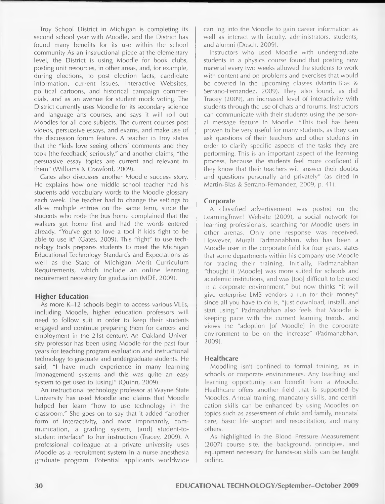Troy School District in Michigan is completing its second school year with Moodle, and the District has found many benefits for its use within the school community As an instructional piece at the elementary level, the District is using Moodle for book clubs, posting unit resources, in other areas, and, for example, during elections, to post election facts, candidate information, current issues, interactive Websites, political cartoons, and historical campaign commercials, and as an avenue for student mock voting. The District currently uses Moodle for its secondary science and language arts courses, and says it will roll out Moodies for all core subjects. The current courses post videos, persuasive essays, and exams, and make use of the discussion forum feature. A teacher in Troy states that the "kids love seeing others' comments and they took [the feedback] seriously," and another claims, "the persuasive essay topics are current and relevant to them" (Williams & Crawford, 2009).

Gates also discusses another Moodle success story. He explains how one middle school teacher had his students add vocabulary words to the Moodle glossary each week. The teacher had to change the settings to allow multiple entries on the same term, since the students who rode the bus home complained that the walkers got home first and had the words entered already. "You've got to love a tool if kids fight to be able to use it" (Gates, 2009). This "fight" to use technology tools prepares students to meet the Michigan Educational Technology Standards and Expectations as well as the State of Michigan Merit Curriculum Requirements, which include an online learning requirement necessary for graduation (MDE, 2009).

#### **Higher Education**

As more K-12 schools begin to access various VLEs, including Moodle, higher education professors will need to follow suit in order to keep their students engaged and continue preparing them for careers and employment in the 21st century. An Oakland University professor has been using Moodle for the past four years for teaching program evaluation and instructional technology to graduate and undergraduate students. He said, "I have much experience in many learning [management] systems and this was quite an easy system to get used to [using]" (Quinn, 2009).

An instructional technology professor at Wayne State University has used Moodle and claims that Moodle helped her learn "how to use technology in the classroom." She goes on to say that it added "another form of interactivity, and most importantly, communication, a grading system, [and] student-tostudent interface" to her instruction (Tracey, 2009). A professional colleague at a private university uses Moodle as a recruitment system in a nurse anesthesia graduate program. Potential applicants worldwide can log into the Moodle to gain career information as well as interact with faculty, administrators, students, and alumni (Dosch, 2009).

Instructors who used Moodle with undergraduate students in a physics course found that posting new material every two weeks allowed the students to work with content and on problems and exercises that would be covered in the upcoming classes (Martin-Blas & Serrano-Fernandez, 2009). They also found, as did Tracey (2009), an increased level of interactivity with students through the use of chats and forums. Instructors can communicate with their students using the personal message feature in Moodle. "This tool has been proven to be very useful for many students, as they can ask questions of their teachers and other students in order to clarify specific aspects of the tasks they are performing. This is an important aspect of the learning process, because the students feel more confident if they know that their teachers will answer their doubts and questions personally and privately" (as cited in Martin-Blas & Serrano-Fernandez, 2009, p. 41).

#### **Corporate**

A classified advertisement was posted on the LearningTown! Website (2009), a social network for learning professionals, searching for Moodle users in other arenas. Only one response was received. However, Murali Padmanabhan, who has been a Moodle user in the corporate field for four years, states that some departments within his company use Moodle for tracing their training. Initially, Padmanabhan "thought it [Moodle] was more suited for schools and academic institutions, and was [too] difficult to be used in a corporate environment," but now thinks "it will give enterprise LMS vendors a run for their money" since all you have to do is, "just download, install, and start using." Padmanabhan also feels that Moodle is keeping pace with the current learning trends, and views the "adoption [of Moodle] in the corporate environment to be on the increase" (Padmanabhan, 2009).

#### **Healthcare**

Moodling isn't confined to formal training, as in schools or corporate environments. Any teaching and learning opportunity can benefit from a Moodle. Healthcare offers another field that is supported by Moodies. Annual training, mandatory skills, and certification skills can be enhanced by using Moodies on topics such as assessment of child and family, neonatal care, basic life support and resuscitation, and many others.

As highlighted in the Blood Pressure Measurement (2007) course site, the background, principles, and equipment necessary for hands-on skills can be taught online.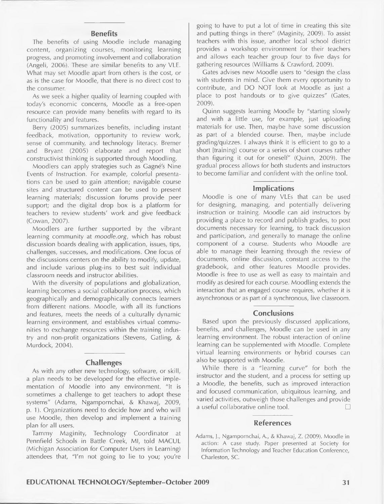#### **Benefits**

The benefits of using Moodle include managing content, organizing courses, monitoring learning progress, and promoting involvement and collaboration (Angeli, 2006). These are similar benefits to any VLE. What may set Moodle apart from others is the cost, or as is the case for Moodle, that there is no direct cost to the consumer.

As we seek a higher quality of learning coupled with today's economic concerns, Moodle as a free-open resource can provide many benefits with regard to its functionality and features.

Berry (2005) summarizes benefits, including instant feedback, motivation, opportunity to review work, sense of community, and technology literacy. Bremer and Bryant (2005) elaborate and report that constructivist thinking is supported through Moodling.

Moodlers can apply strategies such as Gagne's Nine Events of Instruction. For example, colorful presentations can be used to gain attention; navigable course sites and structured content can be used to present learning materials; discussion forums provide peer support; and the digital drop box is a platform for teachers to review students' work and give feedback (Cowan, 2007).

Moodlers are further supported by the vibrant learning community at *moodle.org,* which has robust discussion boards dealing with application, issues, tips, challenges, successes, and modifications. One focus of the discussions centers on the ability to modify, update, and include various plug-ins to best suit individual classroom needs and instructor abilities.

With the diversity of populations and globalization, learning becomes a social collaboration process, which geographically and demographically connects learners from different nations. Moodle, with all its functions and features, meets the needs of a culturally dynamic learning environment, and establishes virtual communities to exchange resources within the training industry and non-profit organizations (Stevens, Gatling, & Murdock, 2004).

#### **Challenges**

As with any other new technology, software, or skill, a plan needs to be developed for the effective implementation of Moodle into any environment. "It is sometimes a challenge to get teachers to adopt these systems" (Adams, Ngampornchai, & Khawaj, 2009, p. 1). Organizations need to decide how and who will use Moodle, then develop and implement a training plan for all users.

Tammy Maginity, Technology Coordinator at Pennfield Schools in Battle Creek, Ml, told MACUL (Michigan Association for Computer Users in Learning) attendees that, "I'm not going to lie to you; you're

going to have to put a lot of time in creating this site and putting things in there" (Maginity, 2009). To assist teachers with this issue, another local school district provides a workshop environment for their teachers and allows each teacher group four to five days for gathering resources (Williams & Crawford, 2009).

Gates advises new Moodle users to "design the class with students in mind. Give them every opportunity to contribute, and DO NOT look at Moodle as just a place to post handouts or to give quizzes" (Gates, 2009).

Quinn suggests learning Moodle by "starting slowly and with a little use, for example, just uploading materials for use. Then, maybe have some discussion as part of a blended course. Then, maybe include grading/quizzes. I always think it is efficient to go to a short [training] course or a series of short courses rather than figuring it out for oneself" (Quinn, 2009). The gradual process allows for both students and instructors to become familiar and confident with the online tool.

#### **Implications**

Moodle is one of many VLEs that can be used for designing, managing, and potentially delivering instruction or training. Moodle can aid instructors by providing a place to record and publish grades, to post documents necessary for learning, to track discussion and participation, and generally to manage the online component of a course. Students who Moodle are able to manage their learning through the review of documents, online discussion, constant access to the gradebook, and other features Moodle provides. Moodle is free to use as well as easy to maintain and modify as desired for each course. Moodling extends the interaction that an engaged course requires, whether it is asynchronous or as part of a synchronous, live classroom.

#### **Conclusions**

Based upon the previously discussed applications, benefits, and challenges, Moodle can be used in any learning environment. The robust interaction of online learning can be supplemented with Moodle. Complete virtual learning environments or hybrid courses can also be supported with Moodle.

While there is a "learning curve" for both the instructor and the student, and a process for setting up a Moodle, the benefits, such as improved interaction and focused communication, ubiquitous learning, and varied activities, outweigh those challenges and provide a useful collaborative online tool.

#### **References**

Adams, J., Ngampornchai, A., & Khawaj, Z. (2009). Moodle in action: A case study. Paper presented at Society for Information Technology and Teacher Education Conference, Charleston, SC.